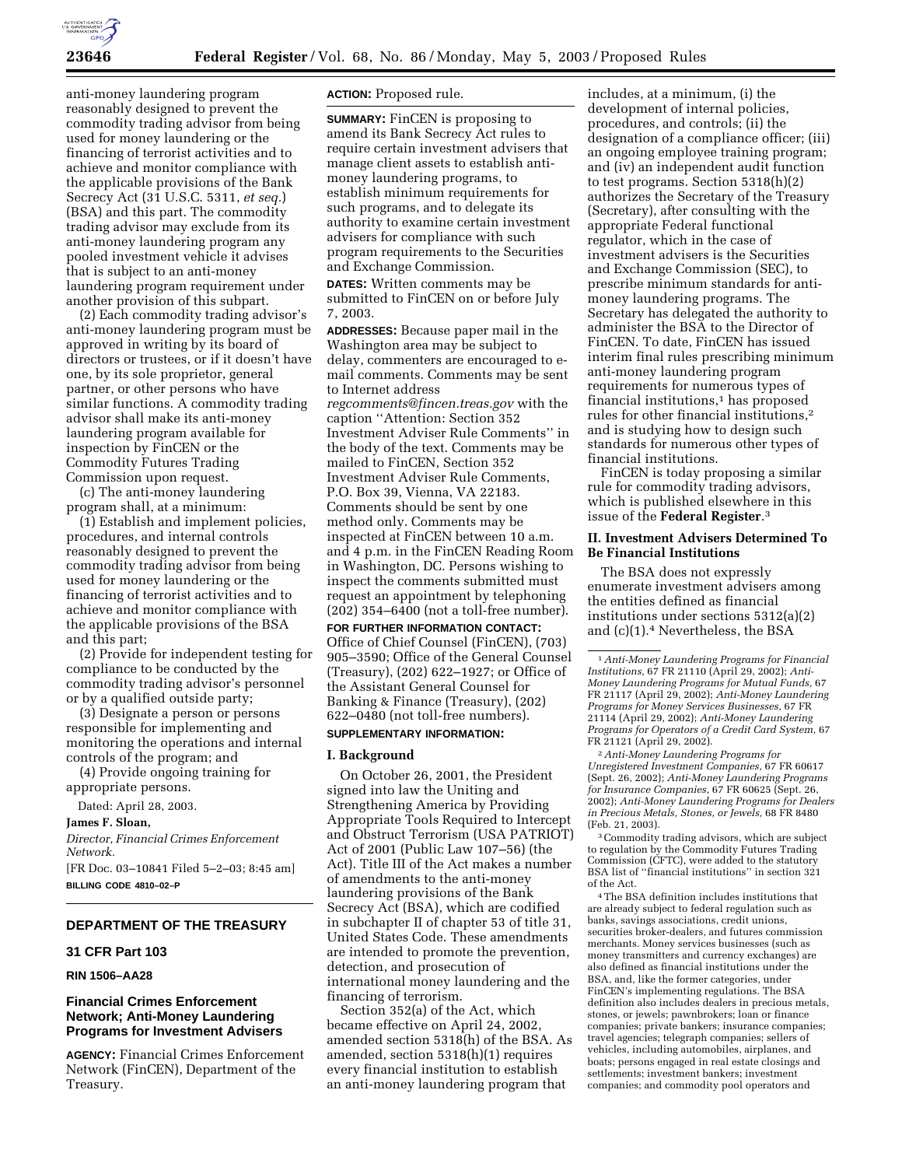

anti-money laundering program reasonably designed to prevent the commodity trading advisor from being used for money laundering or the financing of terrorist activities and to achieve and monitor compliance with the applicable provisions of the Bank Secrecy Act (31 U.S.C. 5311, *et seq.*) (BSA) and this part. The commodity trading advisor may exclude from its anti-money laundering program any pooled investment vehicle it advises that is subject to an anti-money laundering program requirement under another provision of this subpart.

(2) Each commodity trading advisor's anti-money laundering program must be approved in writing by its board of directors or trustees, or if it doesn't have one, by its sole proprietor, general partner, or other persons who have similar functions. A commodity trading advisor shall make its anti-money laundering program available for inspection by FinCEN or the Commodity Futures Trading Commission upon request.

(c) The anti-money laundering program shall, at a minimum:

(1) Establish and implement policies, procedures, and internal controls reasonably designed to prevent the commodity trading advisor from being used for money laundering or the financing of terrorist activities and to achieve and monitor compliance with the applicable provisions of the BSA and this part;

(2) Provide for independent testing for compliance to be conducted by the commodity trading advisor's personnel or by a qualified outside party;

(3) Designate a person or persons responsible for implementing and monitoring the operations and internal controls of the program; and

(4) Provide ongoing training for appropriate persons.

Dated: April 28, 2003.

#### **James F. Sloan,**

*Director, Financial Crimes Enforcement Network.*

[FR Doc. 03–10841 Filed 5–2–03; 8:45 am] **BILLING CODE 4810–02–P**

## **DEPARTMENT OF THE TREASURY**

#### **31 CFR Part 103**

#### **RIN 1506–AA28**

## **Financial Crimes Enforcement Network; Anti-Money Laundering Programs for Investment Advisers**

**AGENCY:** Financial Crimes Enforcement Network (FinCEN), Department of the Treasury.

**ACTION:** Proposed rule.

**SUMMARY:** FinCEN is proposing to amend its Bank Secrecy Act rules to require certain investment advisers that manage client assets to establish antimoney laundering programs, to establish minimum requirements for such programs, and to delegate its authority to examine certain investment advisers for compliance with such program requirements to the Securities and Exchange Commission.

**DATES:** Written comments may be submitted to FinCEN on or before July 7, 2003.

**ADDRESSES:** Because paper mail in the Washington area may be subject to delay, commenters are encouraged to email comments. Comments may be sent to Internet address *regcomments@fincen.treas.gov* with the caption ''Attention: Section 352 Investment Adviser Rule Comments'' in the body of the text. Comments may be mailed to FinCEN, Section 352 Investment Adviser Rule Comments, P.O. Box 39, Vienna, VA 22183. Comments should be sent by one method only. Comments may be inspected at FinCEN between 10 a.m. and 4 p.m. in the FinCEN Reading Room in Washington, DC. Persons wishing to inspect the comments submitted must request an appointment by telephoning (202) 354–6400 (not a toll-free number).

#### **FOR FURTHER INFORMATION CONTACT:**

Office of Chief Counsel (FinCEN), (703) 905–3590; Office of the General Counsel (Treasury), (202) 622–1927; or Office of the Assistant General Counsel for Banking & Finance (Treasury), (202) 622–0480 (not toll-free numbers).

# **SUPPLEMENTARY INFORMATION:**

## **I. Background**

On October 26, 2001, the President signed into law the Uniting and Strengthening America by Providing Appropriate Tools Required to Intercept and Obstruct Terrorism (USA PATRIOT) Act of 2001 (Public Law 107–56) (the Act). Title III of the Act makes a number of amendments to the anti-money laundering provisions of the Bank Secrecy Act (BSA), which are codified in subchapter II of chapter 53 of title 31, United States Code. These amendments are intended to promote the prevention, detection, and prosecution of international money laundering and the financing of terrorism.

Section 352(a) of the Act, which became effective on April 24, 2002, amended section 5318(h) of the BSA. As amended, section 5318(h)(1) requires every financial institution to establish an anti-money laundering program that

includes, at a minimum, (i) the development of internal policies, procedures, and controls; (ii) the designation of a compliance officer; (iii) an ongoing employee training program; and (iv) an independent audit function to test programs. Section 5318(h)(2) authorizes the Secretary of the Treasury (Secretary), after consulting with the appropriate Federal functional regulator, which in the case of investment advisers is the Securities and Exchange Commission (SEC), to prescribe minimum standards for antimoney laundering programs. The Secretary has delegated the authority to administer the BSA to the Director of FinCEN. To date, FinCEN has issued interim final rules prescribing minimum anti-money laundering program requirements for numerous types of financial institutions,1 has proposed rules for other financial institutions,2 and is studying how to design such standards for numerous other types of financial institutions.

FinCEN is today proposing a similar rule for commodity trading advisors, which is published elsewhere in this issue of the **Federal Register**.3

### **II. Investment Advisers Determined To Be Financial Institutions**

The BSA does not expressly enumerate investment advisers among the entities defined as financial institutions under sections 5312(a)(2) and (c)(1).4 Nevertheless, the BSA

2*Anti-Money Laundering Programs for Unregistered Investment Companies,* 67 FR 60617 (Sept. 26, 2002); *Anti-Money Laundering Programs for Insurance Companies,* 67 FR 60625 (Sept. 26, 2002); *Anti-Money Laundering Programs for Dealers in Precious Metals, Stones, or Jewels,* 68 FR 8480 (Feb. 21, 2003).

3Commodity trading advisors, which are subject to regulation by the Commodity Futures Trading Commission (CFTC), were added to the statutory BSA list of ''financial institutions'' in section 321 of the Act.

4The BSA definition includes institutions that are already subject to federal regulation such as banks, savings associations, credit unions, securities broker-dealers, and futures commission merchants. Money services businesses (such as money transmitters and currency exchanges) are also defined as financial institutions under the BSA, and, like the former categories, under FinCEN's implementing regulations. The BSA definition also includes dealers in precious metals, stones, or jewels; pawnbrokers; loan or finance companies; private bankers; insurance companies; travel agencies; telegraph companies; sellers of vehicles, including automobiles, airplanes, and boats; persons engaged in real estate closings and settlements; investment bankers; investment companies; and commodity pool operators and

<sup>1</sup>*Anti-Money Laundering Programs for Financial Institutions,* 67 FR 21110 (April 29, 2002); *Anti-Money Laundering Programs for Mutual Funds,* 67 FR 21117 (April 29, 2002); *Anti-Money Laundering Programs for Money Services Businesses,* 67 FR 21114 (April 29, 2002); *Anti-Money Laundering Programs for Operators of a Credit Card System,* 67 FR 21121 (April 29, 2002).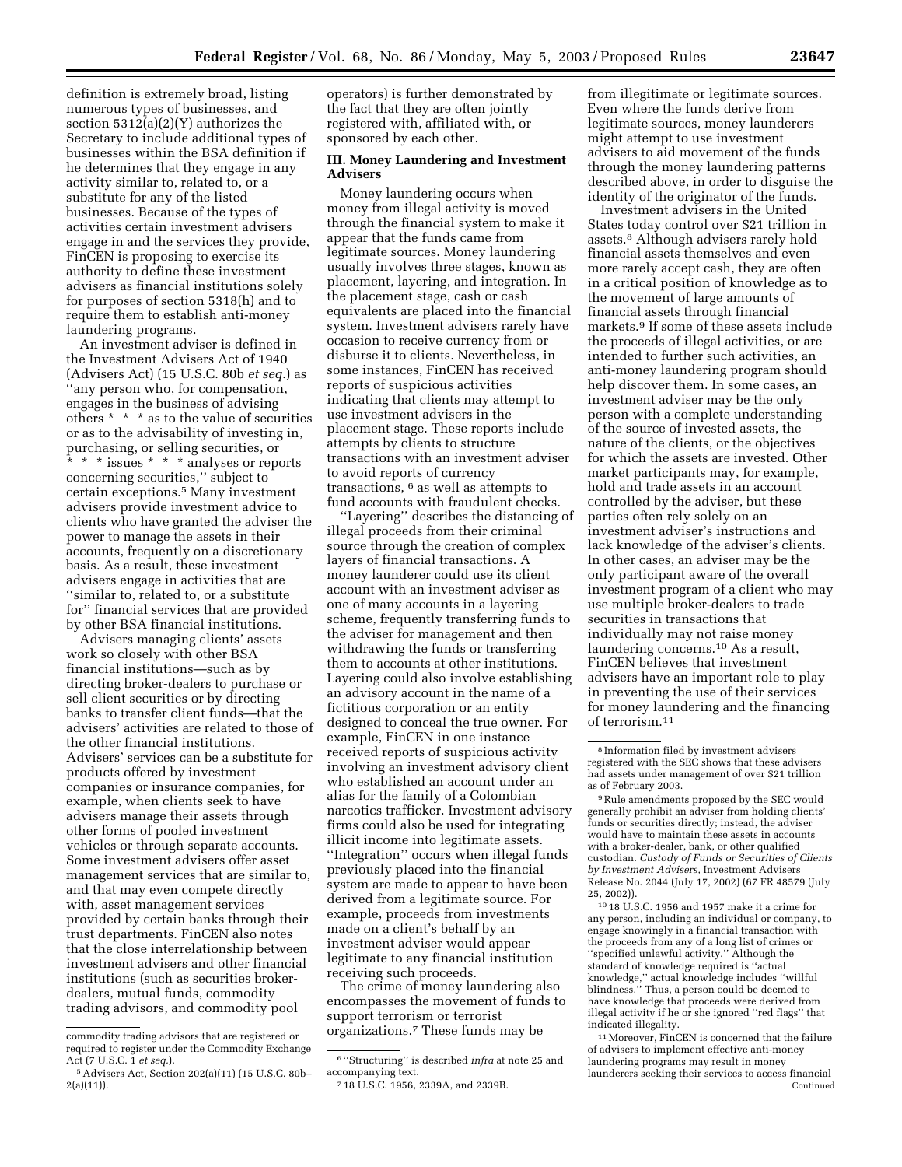definition is extremely broad, listing numerous types of businesses, and section 5312(a)(2)(Y) authorizes the Secretary to include additional types of businesses within the BSA definition if he determines that they engage in any activity similar to, related to, or a substitute for any of the listed businesses. Because of the types of activities certain investment advisers engage in and the services they provide, FinCEN is proposing to exercise its authority to define these investment advisers as financial institutions solely for purposes of section 5318(h) and to require them to establish anti-money laundering programs.

An investment adviser is defined in the Investment Advisers Act of 1940 (Advisers Act) (15 U.S.C. 80b *et seq.*) as ''any person who, for compensation, engages in the business of advising others \* \* \* as to the value of securities or as to the advisability of investing in, purchasing, or selling securities, or \* \* \* issues \* \* \* analyses or reports concerning securities,'' subject to certain exceptions.5 Many investment advisers provide investment advice to clients who have granted the adviser the power to manage the assets in their accounts, frequently on a discretionary basis. As a result, these investment advisers engage in activities that are ''similar to, related to, or a substitute for'' financial services that are provided by other BSA financial institutions.

Advisers managing clients' assets work so closely with other BSA financial institutions—such as by directing broker-dealers to purchase or sell client securities or by directing banks to transfer client funds—that the advisers' activities are related to those of the other financial institutions. Advisers' services can be a substitute for products offered by investment companies or insurance companies, for example, when clients seek to have advisers manage their assets through other forms of pooled investment vehicles or through separate accounts. Some investment advisers offer asset management services that are similar to, and that may even compete directly with, asset management services provided by certain banks through their trust departments. FinCEN also notes that the close interrelationship between investment advisers and other financial institutions (such as securities brokerdealers, mutual funds, commodity trading advisors, and commodity pool

operators) is further demonstrated by the fact that they are often jointly registered with, affiliated with, or sponsored by each other.

## **III. Money Laundering and Investment Advisers**

Money laundering occurs when money from illegal activity is moved through the financial system to make it appear that the funds came from legitimate sources. Money laundering usually involves three stages, known as placement, layering, and integration. In the placement stage, cash or cash equivalents are placed into the financial system. Investment advisers rarely have occasion to receive currency from or disburse it to clients. Nevertheless, in some instances, FinCEN has received reports of suspicious activities indicating that clients may attempt to use investment advisers in the placement stage. These reports include attempts by clients to structure transactions with an investment adviser to avoid reports of currency transactions, 6 as well as attempts to fund accounts with fraudulent checks.

''Layering'' describes the distancing of illegal proceeds from their criminal source through the creation of complex layers of financial transactions. A money launderer could use its client account with an investment adviser as one of many accounts in a layering scheme, frequently transferring funds to the adviser for management and then withdrawing the funds or transferring them to accounts at other institutions. Layering could also involve establishing an advisory account in the name of a fictitious corporation or an entity designed to conceal the true owner. For example, FinCEN in one instance received reports of suspicious activity involving an investment advisory client who established an account under an alias for the family of a Colombian narcotics trafficker. Investment advisory firms could also be used for integrating illicit income into legitimate assets. ''Integration'' occurs when illegal funds previously placed into the financial system are made to appear to have been derived from a legitimate source. For example, proceeds from investments made on a client's behalf by an investment adviser would appear legitimate to any financial institution receiving such proceeds.

The crime of money laundering also encompasses the movement of funds to support terrorism or terrorist organizations.7 These funds may be

from illegitimate or legitimate sources. Even where the funds derive from legitimate sources, money launderers might attempt to use investment advisers to aid movement of the funds through the money laundering patterns described above, in order to disguise the identity of the originator of the funds.

Investment advisers in the United States today control over \$21 trillion in assets.8 Although advisers rarely hold financial assets themselves and even more rarely accept cash, they are often in a critical position of knowledge as to the movement of large amounts of financial assets through financial markets.9 If some of these assets include the proceeds of illegal activities, or are intended to further such activities, an anti-money laundering program should help discover them. In some cases, an investment adviser may be the only person with a complete understanding of the source of invested assets, the nature of the clients, or the objectives for which the assets are invested. Other market participants may, for example, hold and trade assets in an account controlled by the adviser, but these parties often rely solely on an investment adviser's instructions and lack knowledge of the adviser's clients. In other cases, an adviser may be the only participant aware of the overall investment program of a client who may use multiple broker-dealers to trade securities in transactions that individually may not raise money laundering concerns.10 As a result, FinCEN believes that investment advisers have an important role to play in preventing the use of their services for money laundering and the financing of terrorism.11

10 18 U.S.C. 1956 and 1957 make it a crime for any person, including an individual or company, to engage knowingly in a financial transaction with the proceeds from any of a long list of crimes or ''specified unlawful activity.'' Although the standard of knowledge required is ''actual knowledge,'' actual knowledge includes ''willful blindness.'' Thus, a person could be deemed to have knowledge that proceeds were derived from illegal activity if he or she ignored ''red flags'' that indicated illegality.

 $^{\rm 11}\rm{Moreover},$  FinCEN is concerned that the failure of advisers to implement effective anti-money laundering programs may result in money launderers seeking their services to access financial Continued

commodity trading advisors that are registered or required to register under the Commodity Exchange Act (7 U.S.C. 1 *et seq.*).

<sup>5</sup>Advisers Act, Section 202(a)(11) (15 U.S.C. 80b– 2(a)(11)).

<sup>6</sup> ''Structuring'' is described *infra* at note 25 and accompanying text.

<sup>7</sup> 18 U.S.C. 1956, 2339A, and 2339B.

<sup>8</sup> Information filed by investment advisers registered with the SEC shows that these advisers had assets under management of over \$21 trillion as of February 2003.

 $^9\rm\,Rule$  amendments proposed by the SEC would generally prohibit an adviser from holding clients' funds or securities directly; instead, the adviser would have to maintain these assets in accounts with a broker-dealer, bank, or other qualified custodian. *Custody of Funds or Securities of Clients by Investment Advisers,* Investment Advisers Release No. 2044 (July 17, 2002) (67 FR 48579 (July 25, 2002)).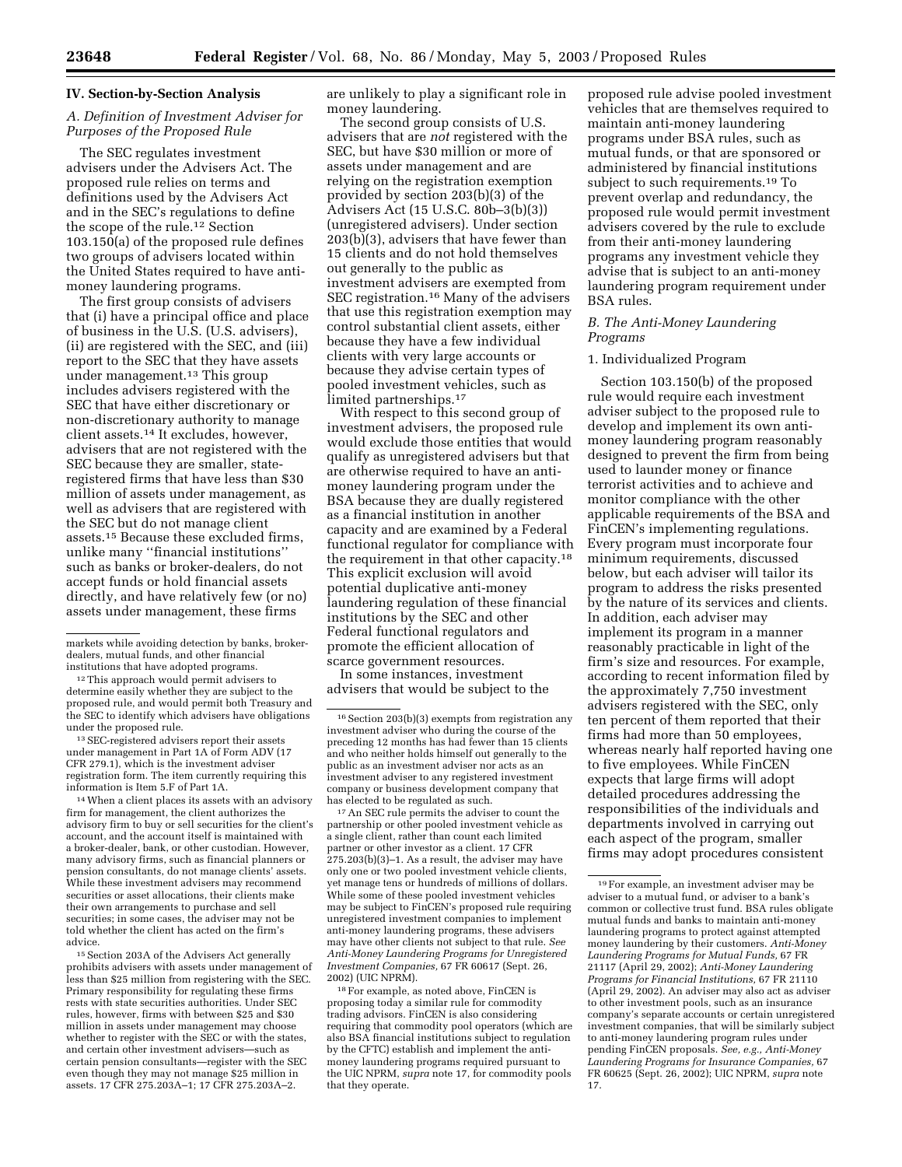#### **IV. Section-by-Section Analysis**

## *A. Definition of Investment Adviser for Purposes of the Proposed Rule*

The SEC regulates investment advisers under the Advisers Act. The proposed rule relies on terms and definitions used by the Advisers Act and in the SEC's regulations to define the scope of the rule.<sup>12</sup> Section 103.150(a) of the proposed rule defines two groups of advisers located within the United States required to have antimoney laundering programs.

The first group consists of advisers that (i) have a principal office and place of business in the U.S. (U.S. advisers), (ii) are registered with the SEC, and (iii) report to the SEC that they have assets under management.13 This group includes advisers registered with the SEC that have either discretionary or non-discretionary authority to manage client assets.14 It excludes, however, advisers that are not registered with the SEC because they are smaller, stateregistered firms that have less than \$30 million of assets under management, as well as advisers that are registered with the SEC but do not manage client assets.15 Because these excluded firms, unlike many ''financial institutions'' such as banks or broker-dealers, do not accept funds or hold financial assets directly, and have relatively few (or no) assets under management, these firms

markets while avoiding detection by banks, brokerdealers, mutual funds, and other financial institutions that have adopted programs.

12This approach would permit advisers to determine easily whether they are subject to the proposed rule, and would permit both Treasury and the SEC to identify which advisers have obligations under the proposed rule.

13SEC-registered advisers report their assets under management in Part 1A of Form ADV (17 CFR 279.1), which is the investment adviser registration form. The item currently requiring this information is Item 5.F of Part 1A.

<sup>14</sup> When a client places its assets with an advisory firm for management, the client authorizes the advisory firm to buy or sell securities for the client's account, and the account itself is maintained with a broker-dealer, bank, or other custodian. However, many advisory firms, such as financial planners or pension consultants, do not manage clients' assets. While these investment advisers may recommend securities or asset allocations, their clients make their own arrangements to purchase and sell securities; in some cases, the adviser may not be told whether the client has acted on the firm's advice.

15Section 203A of the Advisers Act generally prohibits advisers with assets under management of less than \$25 million from registering with the SEC. Primary responsibility for regulating these firms rests with state securities authorities. Under SEC rules, however, firms with between \$25 and \$30 million in assets under management may choose whether to register with the SEC or with the states, and certain other investment advisers—such as certain pension consultants—register with the SEC even though they may not manage \$25 million in assets. 17 CFR 275.203A–1; 17 CFR 275.203A–2.

are unlikely to play a significant role in money laundering.

The second group consists of U.S. advisers that are *not* registered with the SEC, but have \$30 million or more of assets under management and are relying on the registration exemption provided by section 203(b)(3) of the Advisers Act (15 U.S.C. 80b–3(b)(3)) (unregistered advisers). Under section 203(b)(3), advisers that have fewer than 15 clients and do not hold themselves out generally to the public as investment advisers are exempted from SEC registration.16 Many of the advisers that use this registration exemption may control substantial client assets, either because they have a few individual clients with very large accounts or because they advise certain types of pooled investment vehicles, such as limited partnerships.<sup>17</sup>

With respect to this second group of investment advisers, the proposed rule would exclude those entities that would qualify as unregistered advisers but that are otherwise required to have an antimoney laundering program under the BSA because they are dually registered as a financial institution in another capacity and are examined by a Federal functional regulator for compliance with the requirement in that other capacity.18 This explicit exclusion will avoid potential duplicative anti-money laundering regulation of these financial institutions by the SEC and other Federal functional regulators and promote the efficient allocation of scarce government resources.

In some instances, investment advisers that would be subject to the

17An SEC rule permits the adviser to count the partnership or other pooled investment vehicle as a single client, rather than count each limited partner or other investor as a client. 17 CFR 275.203(b)(3)–1. As a result, the adviser may have only one or two pooled investment vehicle clients, yet manage tens or hundreds of millions of dollars. While some of these pooled investment vehicles may be subject to FinCEN's proposed rule requiring unregistered investment companies to implement anti-money laundering programs, these advisers may have other clients not subject to that rule. *See Anti-Money Laundering Programs for Unregistered Investment Companies,* 67 FR 60617 (Sept. 26, 2002) (UIC NPRM).

18For example, as noted above, FinCEN is proposing today a similar rule for commodity trading advisors. FinCEN is also considering requiring that commodity pool operators (which are also BSA financial institutions subject to regulation by the CFTC) establish and implement the antimoney laundering programs required pursuant to the UIC NPRM, *supra* note 17, for commodity pools that they operate.

proposed rule advise pooled investment vehicles that are themselves required to maintain anti-money laundering programs under BSA rules, such as mutual funds, or that are sponsored or administered by financial institutions subject to such requirements.19 To prevent overlap and redundancy, the proposed rule would permit investment advisers covered by the rule to exclude from their anti-money laundering programs any investment vehicle they advise that is subject to an anti-money laundering program requirement under BSA rules.

## *B. The Anti-Money Laundering Programs*

### 1. Individualized Program

Section 103.150(b) of the proposed rule would require each investment adviser subject to the proposed rule to develop and implement its own antimoney laundering program reasonably designed to prevent the firm from being used to launder money or finance terrorist activities and to achieve and monitor compliance with the other applicable requirements of the BSA and FinCEN's implementing regulations. Every program must incorporate four minimum requirements, discussed below, but each adviser will tailor its program to address the risks presented by the nature of its services and clients. In addition, each adviser may implement its program in a manner reasonably practicable in light of the firm's size and resources. For example, according to recent information filed by the approximately 7,750 investment advisers registered with the SEC, only ten percent of them reported that their firms had more than 50 employees, whereas nearly half reported having one to five employees. While FinCEN expects that large firms will adopt detailed procedures addressing the responsibilities of the individuals and departments involved in carrying out each aspect of the program, smaller firms may adopt procedures consistent

<sup>&</sup>lt;sup>16</sup> Section 203(b)(3) exempts from registration any investment adviser who during the course of the preceding 12 months has had fewer than 15 clients and who neither holds himself out generally to the public as an investment adviser nor acts as an investment adviser to any registered investment company or business development company that has elected to be regulated as such.

<sup>19</sup>For example, an investment adviser may be adviser to a mutual fund, or adviser to a bank's common or collective trust fund. BSA rules obligate mutual funds and banks to maintain anti-money laundering programs to protect against attempted money laundering by their customers. *Anti-Money Laundering Programs for Mutual Funds,* 67 FR 21117 (April 29, 2002); *Anti-Money Laundering Programs for Financial Institutions,* 67 FR 21110 (April 29, 2002). An adviser may also act as adviser to other investment pools, such as an insurance company's separate accounts or certain unregistered investment companies, that will be similarly subject to anti-money laundering program rules under pending FinCEN proposals. *See, e.g., Anti-Money Laundering Programs for Insurance Companies,* 67 FR 60625 (Sept. 26, 2002); UIC NPRM, *supra* note 17.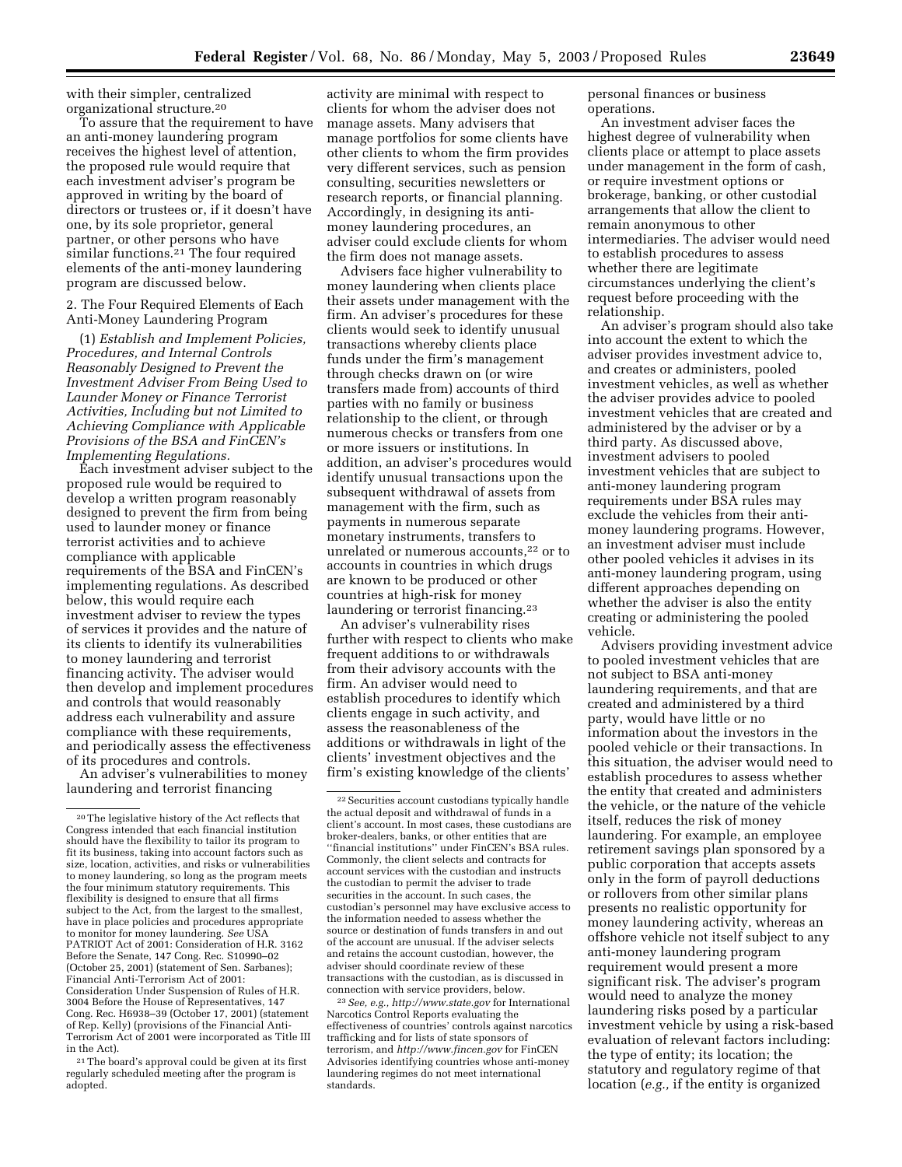with their simpler, centralized organizational structure.20

To assure that the requirement to have an anti-money laundering program receives the highest level of attention, the proposed rule would require that each investment adviser's program be approved in writing by the board of directors or trustees or, if it doesn't have one, by its sole proprietor, general partner, or other persons who have similar functions.<sup>21</sup> The four required elements of the anti-money laundering program are discussed below.

2. The Four Required Elements of Each Anti-Money Laundering Program

(1) *Establish and Implement Policies, Procedures, and Internal Controls Reasonably Designed to Prevent the Investment Adviser From Being Used to Launder Money or Finance Terrorist Activities, Including but not Limited to Achieving Compliance with Applicable Provisions of the BSA and FinCEN's Implementing Regulations.*

Each investment adviser subject to the proposed rule would be required to develop a written program reasonably designed to prevent the firm from being used to launder money or finance terrorist activities and to achieve compliance with applicable requirements of the BSA and FinCEN's implementing regulations. As described below, this would require each investment adviser to review the types of services it provides and the nature of its clients to identify its vulnerabilities to money laundering and terrorist financing activity. The adviser would then develop and implement procedures and controls that would reasonably address each vulnerability and assure compliance with these requirements, and periodically assess the effectiveness of its procedures and controls.

An adviser's vulnerabilities to money laundering and terrorist financing

21The board's approval could be given at its first regularly scheduled meeting after the program is adopted.

activity are minimal with respect to clients for whom the adviser does not manage assets. Many advisers that manage portfolios for some clients have other clients to whom the firm provides very different services, such as pension consulting, securities newsletters or research reports, or financial planning. Accordingly, in designing its antimoney laundering procedures, an adviser could exclude clients for whom the firm does not manage assets.

Advisers face higher vulnerability to money laundering when clients place their assets under management with the firm. An adviser's procedures for these clients would seek to identify unusual transactions whereby clients place funds under the firm's management through checks drawn on (or wire transfers made from) accounts of third parties with no family or business relationship to the client, or through numerous checks or transfers from one or more issuers or institutions. In addition, an adviser's procedures would identify unusual transactions upon the subsequent withdrawal of assets from management with the firm, such as payments in numerous separate monetary instruments, transfers to unrelated or numerous accounts,<sup>22</sup> or to accounts in countries in which drugs are known to be produced or other countries at high-risk for money laundering or terrorist financing.23

An adviser's vulnerability rises further with respect to clients who make frequent additions to or withdrawals from their advisory accounts with the firm. An adviser would need to establish procedures to identify which clients engage in such activity, and assess the reasonableness of the additions or withdrawals in light of the clients' investment objectives and the firm's existing knowledge of the clients'

23*See, e.g., http://www.state.gov* for International Narcotics Control Reports evaluating the effectiveness of countries' controls against narcotics trafficking and for lists of state sponsors of terrorism, and *http://www.fincen.gov* for FinCEN Advisories identifying countries whose anti-money laundering regimes do not meet international standards.

personal finances or business operations.

An investment adviser faces the highest degree of vulnerability when clients place or attempt to place assets under management in the form of cash, or require investment options or brokerage, banking, or other custodial arrangements that allow the client to remain anonymous to other intermediaries. The adviser would need to establish procedures to assess whether there are legitimate circumstances underlying the client's request before proceeding with the relationship.

An adviser's program should also take into account the extent to which the adviser provides investment advice to, and creates or administers, pooled investment vehicles, as well as whether the adviser provides advice to pooled investment vehicles that are created and administered by the adviser or by a third party. As discussed above, investment advisers to pooled investment vehicles that are subject to anti-money laundering program requirements under BSA rules may exclude the vehicles from their antimoney laundering programs. However, an investment adviser must include other pooled vehicles it advises in its anti-money laundering program, using different approaches depending on whether the adviser is also the entity creating or administering the pooled vehicle.

Advisers providing investment advice to pooled investment vehicles that are not subject to BSA anti-money laundering requirements, and that are created and administered by a third party, would have little or no information about the investors in the pooled vehicle or their transactions. In this situation, the adviser would need to establish procedures to assess whether the entity that created and administers the vehicle, or the nature of the vehicle itself, reduces the risk of money laundering. For example, an employee retirement savings plan sponsored by a public corporation that accepts assets only in the form of payroll deductions or rollovers from other similar plans presents no realistic opportunity for money laundering activity, whereas an offshore vehicle not itself subject to any anti-money laundering program requirement would present a more significant risk. The adviser's program would need to analyze the money laundering risks posed by a particular investment vehicle by using a risk-based evaluation of relevant factors including: the type of entity; its location; the statutory and regulatory regime of that location (*e.g.,* if the entity is organized

<sup>20</sup>The legislative history of the Act reflects that Congress intended that each financial institution should have the flexibility to tailor its program to fit its business, taking into account factors such as size, location, activities, and risks or vulnerabilities to money laundering, so long as the program meets the four minimum statutory requirements. This flexibility is designed to ensure that all firms subject to the Act, from the largest to the smallest, have in place policies and procedures appropriate to monitor for money laundering. *See* USA PATRIOT Act of 2001: Consideration of H.R. 3162 Before the Senate, 147 Cong. Rec. S10990–02 (October 25, 2001) (statement of Sen. Sarbanes); Financial Anti-Terrorism Act of 2001: Consideration Under Suspension of Rules of H.R. 3004 Before the House of Representatives, 147 Cong. Rec. H6938–39 (October 17, 2001) (statement of Rep. Kelly) (provisions of the Financial Anti-Terrorism Act of 2001 were incorporated as Title III in the Act).

<sup>22</sup>Securities account custodians typically handle the actual deposit and withdrawal of funds in a client's account. In most cases, these custodians are broker-dealers, banks, or other entities that are ''financial institutions'' under FinCEN's BSA rules. Commonly, the client selects and contracts for account services with the custodian and instructs the custodian to permit the adviser to trade securities in the account. In such cases, the custodian's personnel may have exclusive access to the information needed to assess whether the source or destination of funds transfers in and out of the account are unusual. If the adviser selects and retains the account custodian, however, the adviser should coordinate review of these transactions with the custodian, as is discussed in connection with service providers, below.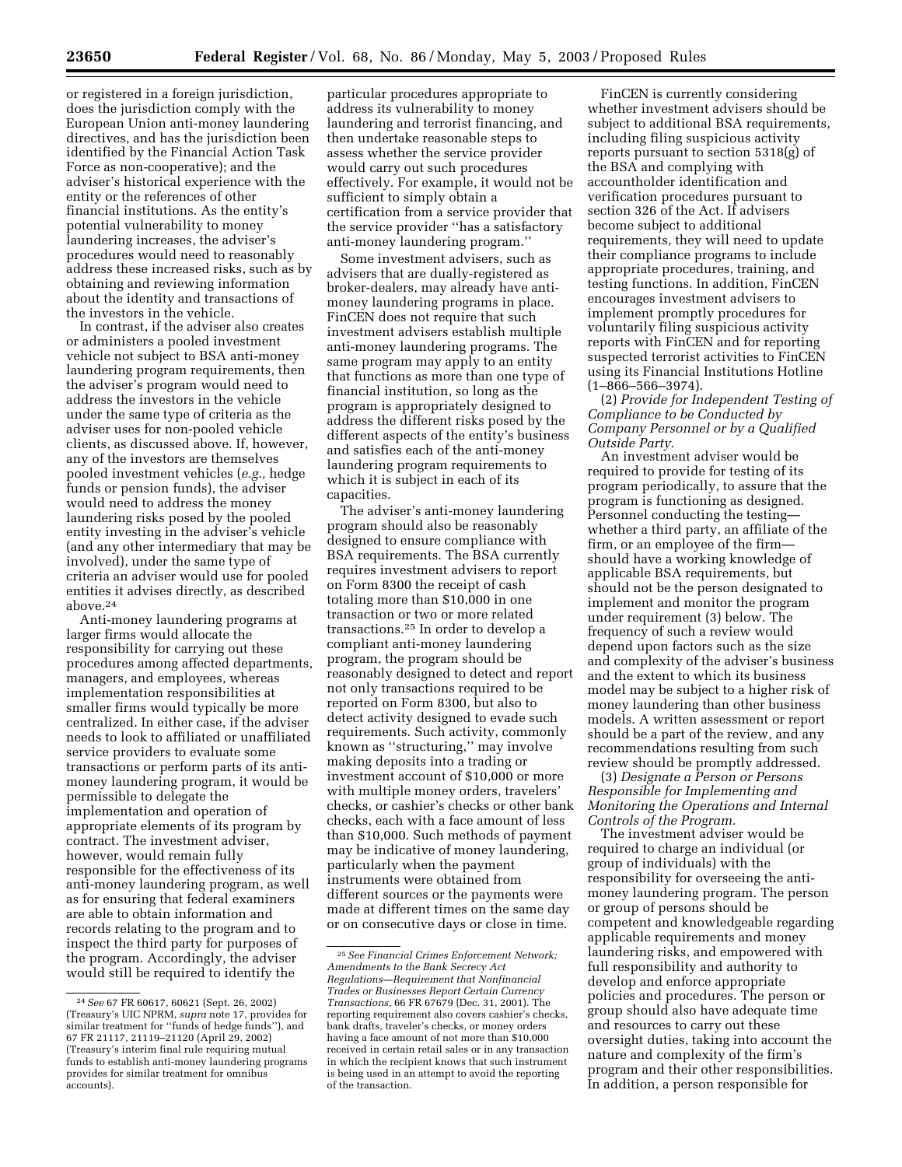or registered in a foreign jurisdiction, does the jurisdiction comply with the European Union anti-money laundering directives, and has the jurisdiction been identified by the Financial Action Task Force as non-cooperative); and the adviser's historical experience with the entity or the references of other financial institutions. As the entity's potential vulnerability to money laundering increases, the adviser's procedures would need to reasonably address these increased risks, such as by obtaining and reviewing information about the identity and transactions of the investors in the vehicle.

In contrast, if the adviser also creates or administers a pooled investment vehicle not subject to BSA anti-money laundering program requirements, then the adviser's program would need to address the investors in the vehicle under the same type of criteria as the adviser uses for non-pooled vehicle clients, as discussed above. If, however, any of the investors are themselves pooled investment vehicles (*e.g.,* hedge funds or pension funds), the adviser would need to address the money laundering risks posed by the pooled entity investing in the adviser's vehicle (and any other intermediary that may be involved), under the same type of criteria an adviser would use for pooled entities it advises directly, as described above.24

Anti-money laundering programs at larger firms would allocate the responsibility for carrying out these procedures among affected departments, managers, and employees, whereas implementation responsibilities at smaller firms would typically be more centralized. In either case, if the adviser needs to look to affiliated or unaffiliated service providers to evaluate some transactions or perform parts of its antimoney laundering program, it would be permissible to delegate the implementation and operation of appropriate elements of its program by contract. The investment adviser, however, would remain fully responsible for the effectiveness of its anti-money laundering program, as well as for ensuring that federal examiners are able to obtain information and records relating to the program and to inspect the third party for purposes of the program. Accordingly, the adviser would still be required to identify the

particular procedures appropriate to address its vulnerability to money laundering and terrorist financing, and then undertake reasonable steps to assess whether the service provider would carry out such procedures effectively. For example, it would not be sufficient to simply obtain a certification from a service provider that the service provider ''has a satisfactory anti-money laundering program.''

Some investment advisers, such as advisers that are dually-registered as broker-dealers, may already have antimoney laundering programs in place. FinCEN does not require that such investment advisers establish multiple anti-money laundering programs. The same program may apply to an entity that functions as more than one type of financial institution, so long as the program is appropriately designed to address the different risks posed by the different aspects of the entity's business and satisfies each of the anti-money laundering program requirements to which it is subject in each of its capacities.

The adviser's anti-money laundering program should also be reasonably designed to ensure compliance with BSA requirements. The BSA currently requires investment advisers to report on Form 8300 the receipt of cash totaling more than \$10,000 in one transaction or two or more related transactions.25 In order to develop a compliant anti-money laundering program, the program should be reasonably designed to detect and report not only transactions required to be reported on Form 8300, but also to detect activity designed to evade such requirements. Such activity, commonly known as ''structuring,'' may involve making deposits into a trading or investment account of \$10,000 or more with multiple money orders, travelers' checks, or cashier's checks or other bank checks, each with a face amount of less than \$10,000. Such methods of payment may be indicative of money laundering, particularly when the payment instruments were obtained from different sources or the payments were made at different times on the same day or on consecutive days or close in time.

FinCEN is currently considering whether investment advisers should be subject to additional BSA requirements, including filing suspicious activity reports pursuant to section 5318(g) of the BSA and complying with accountholder identification and verification procedures pursuant to section 326 of the Act. If advisers become subject to additional requirements, they will need to update their compliance programs to include appropriate procedures, training, and testing functions. In addition, FinCEN encourages investment advisers to implement promptly procedures for voluntarily filing suspicious activity reports with FinCEN and for reporting suspected terrorist activities to FinCEN using its Financial Institutions Hotline (1–866–566–3974).

(2) *Provide for Independent Testing of Compliance to be Conducted by Company Personnel or by a Qualified Outside Party.*

An investment adviser would be required to provide for testing of its program periodically, to assure that the program is functioning as designed. Personnel conducting the testing whether a third party, an affiliate of the firm, or an employee of the firm should have a working knowledge of applicable BSA requirements, but should not be the person designated to implement and monitor the program under requirement (3) below. The frequency of such a review would depend upon factors such as the size and complexity of the adviser's business and the extent to which its business model may be subject to a higher risk of money laundering than other business models. A written assessment or report should be a part of the review, and any recommendations resulting from such review should be promptly addressed.

(3) *Designate a Person or Persons Responsible for Implementing and Monitoring the Operations and Internal Controls of the Program.*

The investment adviser would be required to charge an individual (or group of individuals) with the responsibility for overseeing the antimoney laundering program. The person or group of persons should be competent and knowledgeable regarding applicable requirements and money laundering risks, and empowered with full responsibility and authority to develop and enforce appropriate policies and procedures. The person or group should also have adequate time and resources to carry out these oversight duties, taking into account the nature and complexity of the firm's program and their other responsibilities. In addition, a person responsible for

<sup>24</sup>*See* 67 FR 60617, 60621 (Sept. 26, 2002) (Treasury's UIC NPRM, *supra* note 17, provides for similar treatment for ''funds of hedge funds''), and 67 FR 21117, 21119–21120 (April 29, 2002) (Treasury's interim final rule requiring mutual funds to establish anti-money laundering programs provides for similar treatment for omnibus accounts).

<sup>25</sup>*See Financial Crimes Enforcement Network; Amendments to the Bank Secrecy Act Regulations—Requirement that Nonfinancial Trades or Businesses Report Certain Currency Transactions,* 66 FR 67679 (Dec. 31, 2001). The reporting requirement also covers cashier's checks, bank drafts, traveler's checks, or money orders having a face amount of not more than \$10,000 received in certain retail sales or in any transaction in which the recipient knows that such instrument is being used in an attempt to avoid the reporting of the transaction.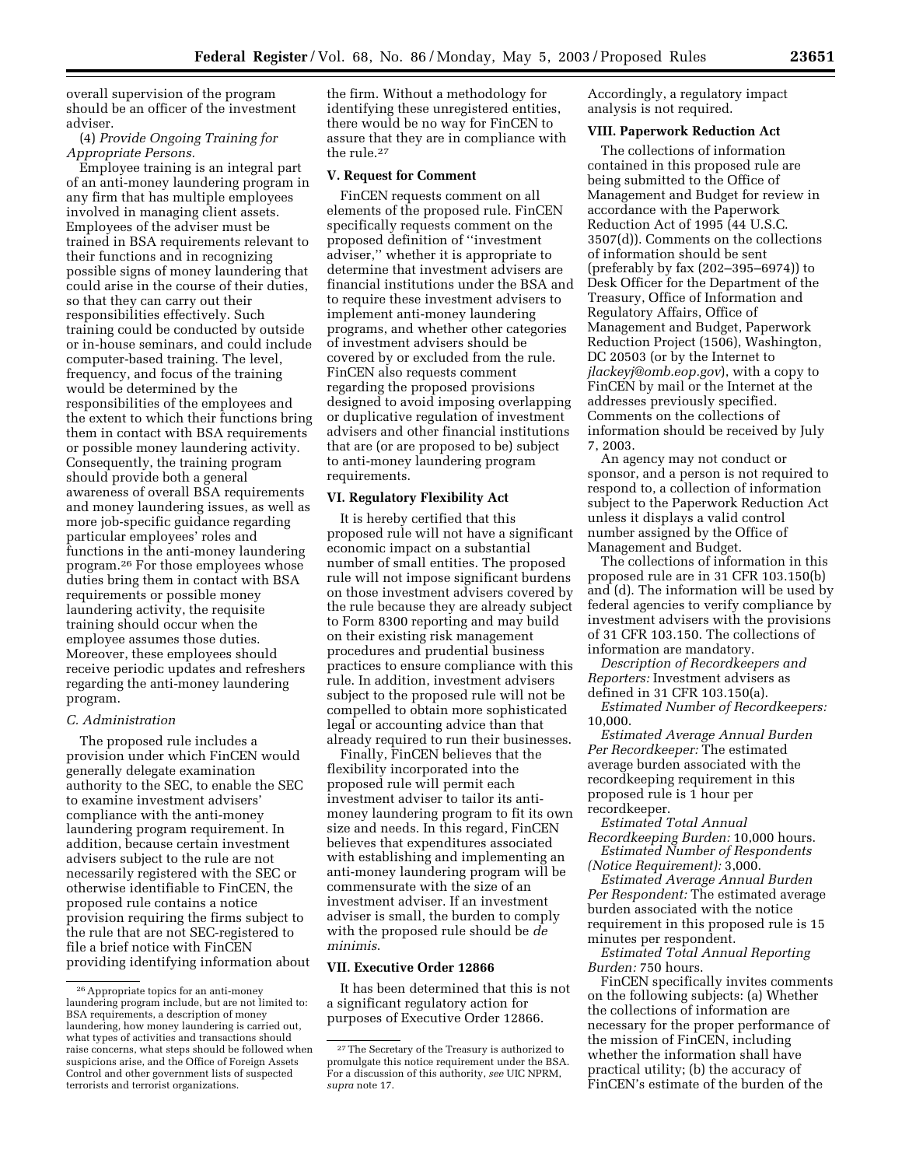overall supervision of the program should be an officer of the investment adviser.

(4) *Provide Ongoing Training for Appropriate Persons.*

Employee training is an integral part of an anti-money laundering program in any firm that has multiple employees involved in managing client assets. Employees of the adviser must be trained in BSA requirements relevant to their functions and in recognizing possible signs of money laundering that could arise in the course of their duties, so that they can carry out their responsibilities effectively. Such training could be conducted by outside or in-house seminars, and could include computer-based training. The level, frequency, and focus of the training would be determined by the responsibilities of the employees and the extent to which their functions bring them in contact with BSA requirements or possible money laundering activity. Consequently, the training program should provide both a general awareness of overall BSA requirements and money laundering issues, as well as more job-specific guidance regarding particular employees' roles and functions in the anti-money laundering program.26 For those employees whose duties bring them in contact with BSA requirements or possible money laundering activity, the requisite training should occur when the employee assumes those duties. Moreover, these employees should receive periodic updates and refreshers regarding the anti-money laundering program.

## *C. Administration*

The proposed rule includes a provision under which FinCEN would generally delegate examination authority to the SEC, to enable the SEC to examine investment advisers' compliance with the anti-money laundering program requirement. In addition, because certain investment advisers subject to the rule are not necessarily registered with the SEC or otherwise identifiable to FinCEN, the proposed rule contains a notice provision requiring the firms subject to the rule that are not SEC-registered to file a brief notice with FinCEN providing identifying information about the firm. Without a methodology for identifying these unregistered entities, there would be no way for FinCEN to assure that they are in compliance with the rule.27

#### **V. Request for Comment**

FinCEN requests comment on all elements of the proposed rule. FinCEN specifically requests comment on the proposed definition of ''investment adviser,'' whether it is appropriate to determine that investment advisers are financial institutions under the BSA and to require these investment advisers to implement anti-money laundering programs, and whether other categories of investment advisers should be covered by or excluded from the rule. FinCEN also requests comment regarding the proposed provisions designed to avoid imposing overlapping or duplicative regulation of investment advisers and other financial institutions that are (or are proposed to be) subject to anti-money laundering program requirements.

## **VI. Regulatory Flexibility Act**

It is hereby certified that this proposed rule will not have a significant economic impact on a substantial number of small entities. The proposed rule will not impose significant burdens on those investment advisers covered by the rule because they are already subject to Form 8300 reporting and may build on their existing risk management procedures and prudential business practices to ensure compliance with this rule. In addition, investment advisers subject to the proposed rule will not be compelled to obtain more sophisticated legal or accounting advice than that already required to run their businesses.

Finally, FinCEN believes that the flexibility incorporated into the proposed rule will permit each investment adviser to tailor its antimoney laundering program to fit its own size and needs. In this regard, FinCEN believes that expenditures associated with establishing and implementing an anti-money laundering program will be commensurate with the size of an investment adviser. If an investment adviser is small, the burden to comply with the proposed rule should be *de minimis*.

#### **VII. Executive Order 12866**

It has been determined that this is not a significant regulatory action for purposes of Executive Order 12866.

Accordingly, a regulatory impact analysis is not required.

### **VIII. Paperwork Reduction Act**

The collections of information contained in this proposed rule are being submitted to the Office of Management and Budget for review in accordance with the Paperwork Reduction Act of 1995 (44 U.S.C. 3507(d)). Comments on the collections of information should be sent (preferably by fax (202–395–6974)) to Desk Officer for the Department of the Treasury, Office of Information and Regulatory Affairs, Office of Management and Budget, Paperwork Reduction Project (1506), Washington, DC 20503 (or by the Internet to *jlackeyj@omb.eop.gov*), with a copy to FinCEN by mail or the Internet at the addresses previously specified. Comments on the collections of information should be received by July 7, 2003.

An agency may not conduct or sponsor, and a person is not required to respond to, a collection of information subject to the Paperwork Reduction Act unless it displays a valid control number assigned by the Office of Management and Budget.

The collections of information in this proposed rule are in 31 CFR 103.150(b) and (d). The information will be used by federal agencies to verify compliance by investment advisers with the provisions of 31 CFR 103.150. The collections of information are mandatory.

*Description of Recordkeepers and Reporters:* Investment advisers as defined in 31 CFR 103.150(a).

*Estimated Number of Recordkeepers:* 10,000.

*Estimated Average Annual Burden Per Recordkeeper:* The estimated average burden associated with the recordkeeping requirement in this proposed rule is 1 hour per recordkeeper.

*Estimated Total Annual Recordkeeping Burden:* 10,000 hours. *Estimated Number of Respondents* 

*(Notice Requirement):* 3,000.

*Estimated Average Annual Burden Per Respondent:* The estimated average burden associated with the notice requirement in this proposed rule is 15 minutes per respondent.

*Estimated Total Annual Reporting Burden:* 750 hours.

FinCEN specifically invites comments on the following subjects: (a) Whether the collections of information are necessary for the proper performance of the mission of FinCEN, including whether the information shall have practical utility; (b) the accuracy of FinCEN's estimate of the burden of the

<sup>26</sup>Appropriate topics for an anti-money laundering program include, but are not limited to: BSA requirements, a description of money laundering, how money laundering is carried out, what types of activities and transactions should raise concerns, what steps should be followed when suspicions arise, and the Office of Foreign Assets Control and other government lists of suspected terrorists and terrorist organizations.

<sup>27</sup>The Secretary of the Treasury is authorized to promulgate this notice requirement under the BSA. For a discussion of this authority, *see* UIC NPRM, *supra* note 17.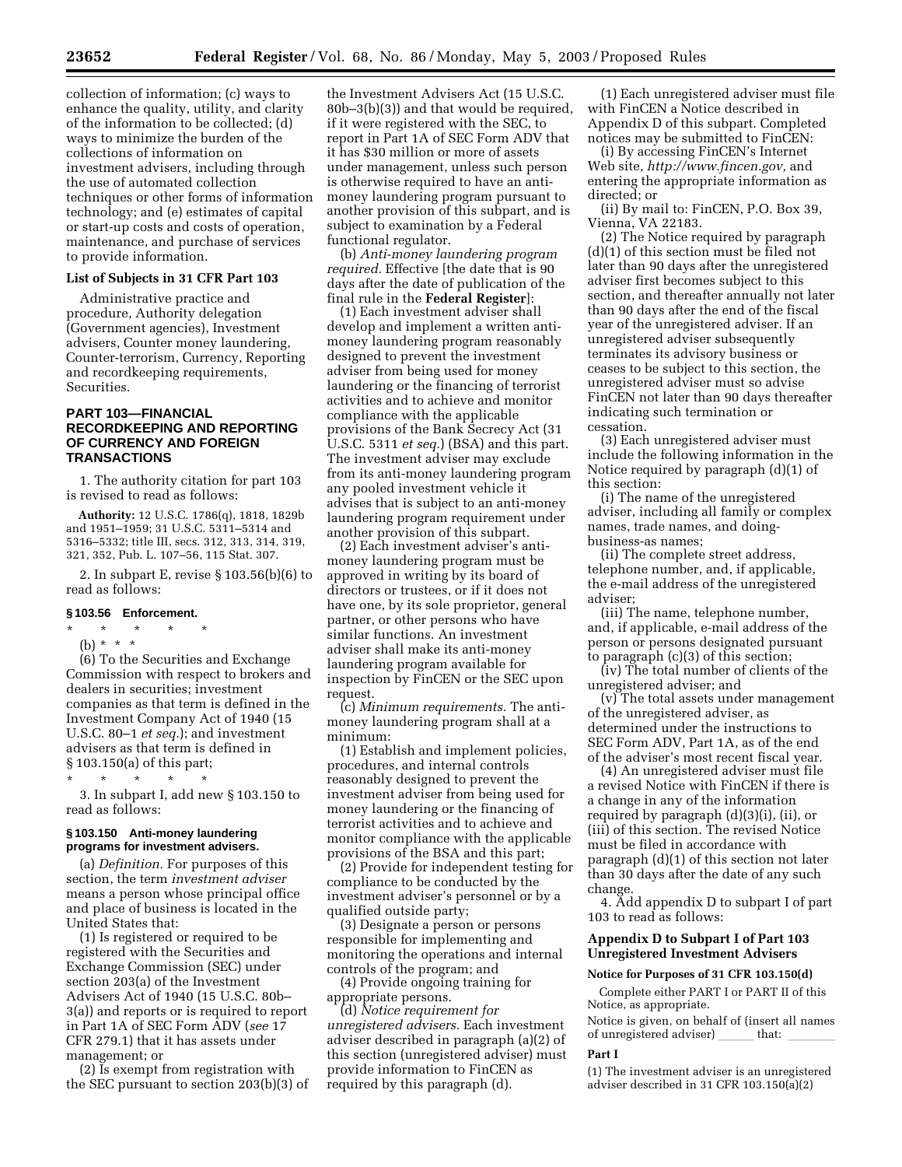collection of information; (c) ways to enhance the quality, utility, and clarity of the information to be collected; (d) ways to minimize the burden of the collections of information on investment advisers, including through the use of automated collection techniques or other forms of information technology; and (e) estimates of capital or start-up costs and costs of operation, maintenance, and purchase of services to provide information.

#### **List of Subjects in 31 CFR Part 103**

Administrative practice and procedure, Authority delegation (Government agencies), Investment advisers, Counter money laundering, Counter-terrorism, Currency, Reporting and recordkeeping requirements, Securities.

## **PART 103—FINANCIAL RECORDKEEPING AND REPORTING OF CURRENCY AND FOREIGN TRANSACTIONS**

1. The authority citation for part 103 is revised to read as follows:

**Authority:** 12 U.S.C. 1786(q), 1818, 1829b and 1951–1959; 31 U.S.C. 5311–5314 and 5316–5332; title III, secs. 312, 313, 314, 319, 321, 352, Pub. L. 107–56, 115 Stat. 307.

2. In subpart E, revise § 103.56(b)(6) to read as follows:

#### **§ 103.56 Enforcement.**

## \* \* \* \* \*

(b) \* \* \*

(6) To the Securities and Exchange Commission with respect to brokers and dealers in securities; investment companies as that term is defined in the Investment Company Act of 1940 (15 U.S.C. 80–1 *et seq.*); and investment advisers as that term is defined in § 103.150(a) of this part;

\* \* \* \* \*

3. In subpart I, add new § 103.150 to read as follows:

#### **§ 103.150 Anti-money laundering programs for investment advisers.**

(a) *Definition.* For purposes of this section, the term *investment adviser* means a person whose principal office and place of business is located in the United States that:

(1) Is registered or required to be registered with the Securities and Exchange Commission (SEC) under section 203(a) of the Investment Advisers Act of 1940 (15 U.S.C. 80b– 3(a)) and reports or is required to report in Part 1A of SEC Form ADV (*see* 17 CFR 279.1) that it has assets under management; or

(2) Is exempt from registration with the SEC pursuant to section 203(b)(3) of

the Investment Advisers Act (15 U.S.C. 80b–3(b)(3)) and that would be required, if it were registered with the SEC, to report in Part 1A of SEC Form ADV that it has \$30 million or more of assets under management, unless such person is otherwise required to have an antimoney laundering program pursuant to another provision of this subpart, and is subject to examination by a Federal functional regulator.

(b) *Anti-money laundering program required.* Effective [the date that is 90 days after the date of publication of the final rule in the **Federal Register**]:

(1) Each investment adviser shall develop and implement a written antimoney laundering program reasonably designed to prevent the investment adviser from being used for money laundering or the financing of terrorist activities and to achieve and monitor compliance with the applicable provisions of the Bank Secrecy Act (31 U.S.C. 5311 *et seq.*) (BSA) and this part. The investment adviser may exclude from its anti-money laundering program any pooled investment vehicle it advises that is subject to an anti-money laundering program requirement under another provision of this subpart.

(2) Each investment adviser's antimoney laundering program must be approved in writing by its board of directors or trustees, or if it does not have one, by its sole proprietor, general partner, or other persons who have similar functions. An investment adviser shall make its anti-money laundering program available for inspection by FinCEN or the SEC upon request.

(c) *Minimum requirements.* The antimoney laundering program shall at a minimum:

(1) Establish and implement policies, procedures, and internal controls reasonably designed to prevent the investment adviser from being used for money laundering or the financing of terrorist activities and to achieve and monitor compliance with the applicable provisions of the BSA and this part;

(2) Provide for independent testing for compliance to be conducted by the investment adviser's personnel or by a qualified outside party;

(3) Designate a person or persons responsible for implementing and monitoring the operations and internal controls of the program; and

(4) Provide ongoing training for appropriate persons.

(d) *Notice requirement for unregistered advisers.* Each investment adviser described in paragraph (a)(2) of this section (unregistered adviser) must provide information to FinCEN as required by this paragraph (d).

(1) Each unregistered adviser must file with FinCEN a Notice described in Appendix D of this subpart. Completed notices may be submitted to FinCEN:

(i) By accessing FinCEN's Internet Web site, *http://www.fincen.gov,* and entering the appropriate information as directed; or

(ii) By mail to: FinCEN, P.O. Box 39, Vienna, VA 22183.

(2) The Notice required by paragraph (d)(1) of this section must be filed not later than 90 days after the unregistered adviser first becomes subject to this section, and thereafter annually not later than 90 days after the end of the fiscal year of the unregistered adviser. If an unregistered adviser subsequently terminates its advisory business or ceases to be subject to this section, the unregistered adviser must so advise FinCEN not later than 90 days thereafter indicating such termination or cessation.

(3) Each unregistered adviser must include the following information in the Notice required by paragraph (d)(1) of this section:

(i) The name of the unregistered adviser, including all family or complex names, trade names, and doingbusiness-as names;

(ii) The complete street address, telephone number, and, if applicable, the e-mail address of the unregistered adviser;

(iii) The name, telephone number, and, if applicable, e-mail address of the person or persons designated pursuant to paragraph (c)(3) of this section;

(iv) The total number of clients of the unregistered adviser; and

(v) The total assets under management of the unregistered adviser, as determined under the instructions to SEC Form ADV, Part 1A, as of the end of the adviser's most recent fiscal year.

(4) An unregistered adviser must file a revised Notice with FinCEN if there is a change in any of the information required by paragraph (d)(3)(i), (ii), or (iii) of this section. The revised Notice must be filed in accordance with paragraph (d)(1) of this section not later than 30 days after the date of any such change.

4. Add appendix D to subpart I of part 103 to read as follows:

### **Appendix D to Subpart I of Part 103 Unregistered Investment Advisers**

#### **Notice for Purposes of 31 CFR 103.150(d)**

Complete either PART I or PART II of this Notice, as appropriate.

Notice is given, on behalf of (insert all names of unregistered adviser) \_\_\_\_\_ that: \_

## **Part I**

(1) The investment adviser is an unregistered adviser described in 31 CFR 103.150(a)(2)